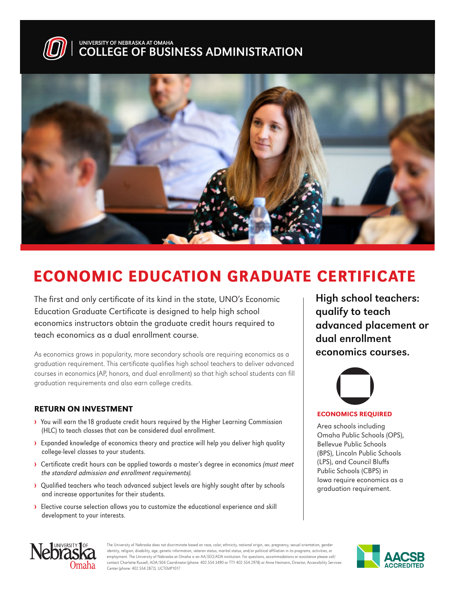



## ECONOMIC EDUCATION GRADUATE CERTIFICATE

The first and only certificate of its kind in the state, UNO's Economic Education Graduate Certificate is designed to help high school economics instructors obtain the graduate credit hours required to teach economics as a dual enrollment course.

As economics grows in popularity, more secondary schools are requiring economics as a graduation requirement. This certificate qualifies high school teachers to deliver advanced courses in economics (AP, honors, and dual enrollment) so that high school students can fill graduation requirements and also earn college credits.

#### RETURN ON INVESTMENT

- › You will earn the 18 graduate credit hours required by the Higher Learning Commission (HLC) to teach classes that can be considered dual enrollment.
- › Expanded knowledge of economics theory and practice will help you deliver high quality college-level classes to your students.
- › Certificate credit hours can be applied towards a master's degree in economics (must meet the standard admission and enrollment requirements).
- › Qualified teachers who teach advanced subject levels are highly sought after by schools and increase opportunites for their students.
- › Elective course selection allows you to customize the educational experience and skill development to your interests.

High school teachers: qualify to teach advanced placement or dual enrollment economics courses.



#### ECONOMICS REQUIRED

Area schools including Omaha Public Schools (OPS), Bellevue Public Schools (BPS), Lincoln Public Schools (LPS), and Council Bluffs Public Schools (CBPS) in Iowa require economics as a graduation requirement.



The University of Nebraska does not discriminate based on race, color, ethnicity, national origin, sex, pregnancy, sexual orientation, gender identity, religion, disability, age, genetic information, veteran status, marital status, and/or political affiliation in its programs, activities, or employment. The University of Nebraska at Omaha is an AA/EEO/ADA institution. For questions, accommodations or assistance please call/ contact Charlotte Russell, ADA/504 Coordinator (phone: 402.554.3490 or TTY 402.554.2978) or Anne Heimann, Director, Accessibility Services Center (phone: 402.554.2872). UCTEMP1017